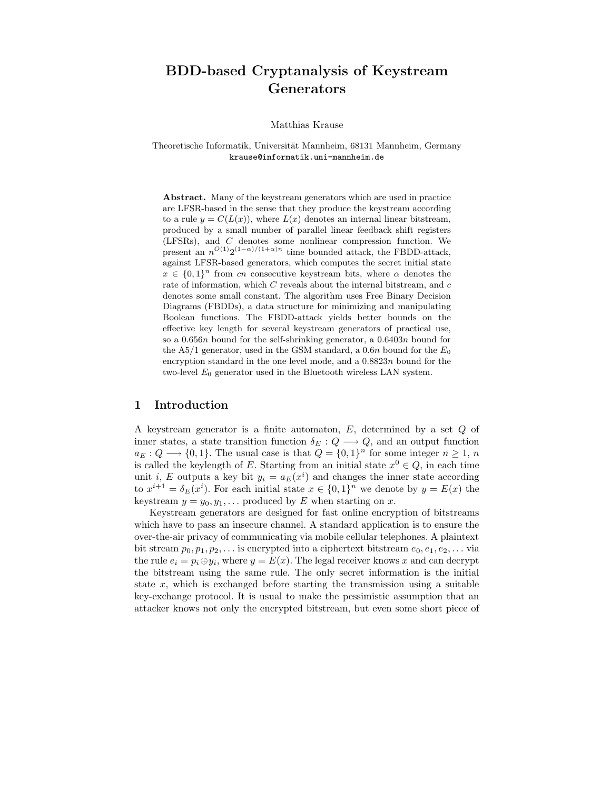# BDD-based Cryptanalysis of Keystream Generators

Matthias Krause

Theoretische Informatik, Universität Mannheim, 68131 Mannheim, Germany krause@informatik.uni-mannheim.de

Abstract. Many of the keystream generators which are used in practice are LFSR-based in the sense that they produce the keystream according to a rule  $y = C(L(x))$ , where  $L(x)$  denotes an internal linear bitstream, produced by a small number of parallel linear feedback shift registers (LFSRs), and C denotes some nonlinear compression function. We present an  $n^{O(1)}2^{(1-\alpha)/(1+\alpha)n}$  time bounded attack, the FBDD-attack, against LFSR-based generators, which computes the secret initial state  $x \in \{0,1\}^n$  from cn consecutive keystream bits, where  $\alpha$  denotes the rate of information, which  $C$  reveals about the internal bitstream, and  $c$ denotes some small constant. The algorithm uses Free Binary Decision Diagrams (FBDDs), a data structure for minimizing and manipulating Boolean functions. The FBDD-attack yields better bounds on the effective key length for several keystream generators of practical use, so a 0.656n bound for the self-shrinking generator, a 0.6403n bound for the  $A5/1$  generator, used in the GSM standard, a 0.6n bound for the  $E_0$ encryption standard in the one level mode, and a 0.8823n bound for the two-level  $E_0$  generator used in the Bluetooth wireless LAN system.

### 1 Introduction

A keystream generator is a finite automaton, E, determined by a set Q of inner states, a state transition function  $\delta_E: Q \longrightarrow Q$ , and an output function  $a_E: Q \longrightarrow \{0,1\}$ . The usual case is that  $Q = \{0,1\}^n$  for some integer  $n \geq 1$ , n is called the keylength of E. Starting from an initial state  $x^0 \in Q$ , in each time unit *i*, *E* outputs a key bit  $y_i = a_E(x^i)$  and changes the inner state according to  $x^{i+1} = \delta_E(x^i)$ . For each initial state  $x \in \{0,1\}^n$  we denote by  $y = E(x)$  the keystream  $y = y_0, y_1, \ldots$  produced by E when starting on x.

Keystream generators are designed for fast online encryption of bitstreams which have to pass an insecure channel. A standard application is to ensure the over-the-air privacy of communicating via mobile cellular telephones. A plaintext bit stream  $p_0, p_1, p_2, \ldots$  is encrypted into a ciphertext bitstream  $e_0, e_1, e_2, \ldots$  via the rule  $e_i = p_i \oplus y_i$ , where  $y = E(x)$ . The legal receiver knows x and can decrypt the bitstream using the same rule. The only secret information is the initial state  $x$ , which is exchanged before starting the transmission using a suitable key-exchange protocol. It is usual to make the pessimistic assumption that an attacker knows not only the encrypted bitstream, but even some short piece of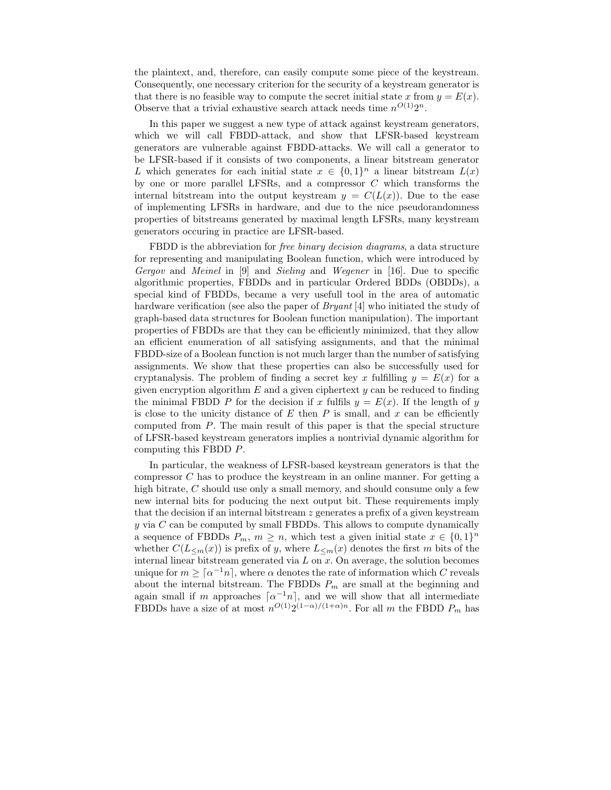the plaintext, and, therefore, can easily compute some piece of the keystream. Consequently, one necessary criterion for the security of a keystream generator is that there is no feasible way to compute the secret initial state x from  $y = E(x)$ . Observe that a trivial exhaustive search attack needs time  $n^{O(1)}2^n$ .

In this paper we suggest a new type of attack against keystream generators, which we will call FBDD-attack, and show that LFSR-based keystream generators are vulnerable against FBDD-attacks. We will call a generator to be LFSR-based if it consists of two components, a linear bitstream generator L which generates for each initial state  $x \in \{0,1\}^n$  a linear bitstream  $L(x)$ by one or more parallel LFSRs, and a compressor  $C$  which transforms the internal bitstream into the output keystream  $y = C(L(x))$ . Due to the ease of implementing LFSRs in hardware, and due to the nice pseudorandomness properties of bitstreams generated by maximal length LFSRs, many keystream generators occuring in practice are LFSR-based.

FBDD is the abbreviation for free binary decision diagrams, a data structure for representing and manipulating Boolean function, which were introduced by Gergov and Meinel in [9] and Sieling and Wegener in [16]. Due to specific algorithmic properties, FBDDs and in particular Ordered BDDs (OBDDs), a special kind of FBDDs, became a very usefull tool in the area of automatic hardware verification (see also the paper of *Bryant* [4] who initiated the study of graph-based data structures for Boolean function manipulation). The important properties of FBDDs are that they can be efficiently minimized, that they allow an efficient enumeration of all satisfying assignments, and that the minimal FBDD-size of a Boolean function is not much larger than the number of satisfying assignments. We show that these properties can also be successfully used for cryptanalysis. The problem of finding a secret key x fulfilling  $y = E(x)$  for a given encryption algorithm  $E$  and a given ciphertext  $y$  can be reduced to finding the minimal FBDD P for the decision if x fulfils  $y = E(x)$ . If the length of y is close to the unicity distance of  $E$  then  $P$  is small, and  $x$  can be efficiently computed from P. The main result of this paper is that the special structure of LFSR-based keystream generators implies a nontrivial dynamic algorithm for computing this FBDD P.

In particular, the weakness of LFSR-based keystream generators is that the compressor C has to produce the keystream in an online manner. For getting a high bitrate, C should use only a small memory, and should consume only a few new internal bits for poducing the next output bit. These requirements imply that the decision if an internal bitstream  $z$  generates a prefix of a given keystream  $y$  via  $C$  can be computed by small FBDDs. This allows to compute dynamically a sequence of FBDDs  $P_m$ ,  $m \ge n$ , which test a given initial state  $x \in \{0,1\}^n$ whether  $C(L_{\leq m}(x))$  is prefix of y, where  $L_{\leq m}(x)$  denotes the first m bits of the internal linear bitstream generated via  $L$  on  $x$ . On average, the solution becomes unique for  $m \geq \lceil \alpha^{-1}n \rceil$ , where  $\alpha$  denotes the rate of information which C reveals about the internal bitstream. The FBDDs  $P_m$  are small at the beginning and again small if m approaches  $\lceil \alpha^{-1}n \rceil$ , and we will show that all intermediate FBDDs have a size of at most  $n^{O(1)}2^{(1-\alpha)/(1+\alpha)n}$ . For all m the FBDD  $P_m$  has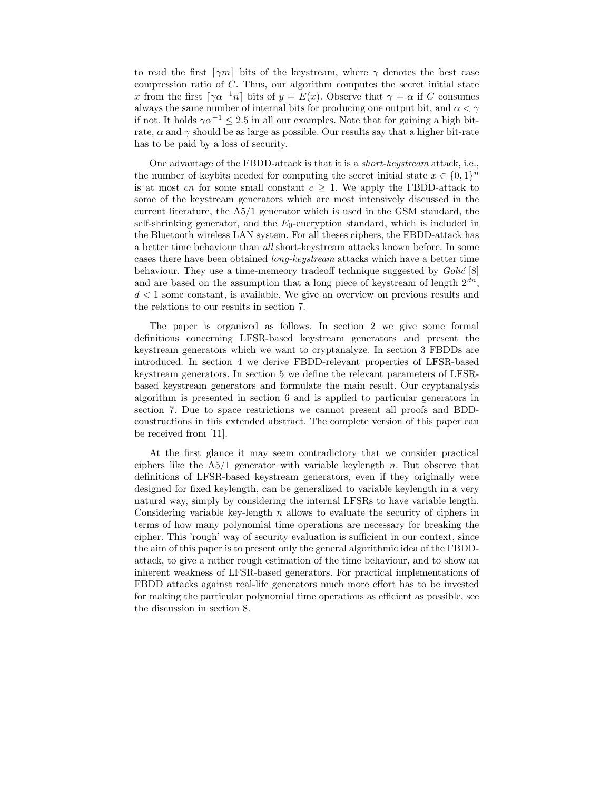to read the first  $\lceil \gamma m \rceil$  bits of the keystream, where  $\gamma$  denotes the best case compression ratio of C. Thus, our algorithm computes the secret initial state x from the first  $\lceil \gamma \alpha^{-1} n \rceil$  bits of  $y = E(x)$ . Observe that  $\gamma = \alpha$  if C consumes always the same number of internal bits for producing one output bit, and  $\alpha < \gamma$ if not. It holds  $\gamma \alpha^{-1} \leq 2.5$  in all our examples. Note that for gaining a high bitrate,  $\alpha$  and  $\gamma$  should be as large as possible. Our results say that a higher bit-rate has to be paid by a loss of security.

One advantage of the FBDD-attack is that it is a short-keystream attack, i.e., the number of keybits needed for computing the secret initial state  $x \in \{0,1\}^n$ is at most cn for some small constant  $c > 1$ . We apply the FBDD-attack to some of the keystream generators which are most intensively discussed in the current literature, the A5/1 generator which is used in the GSM standard, the self-shrinking generator, and the  $E_0$ -encryption standard, which is included in the Bluetooth wireless LAN system. For all theses ciphers, the FBDD-attack has a better time behaviour than all short-keystream attacks known before. In some cases there have been obtained long-keystream attacks which have a better time behaviour. They use a time-memeory tradeoff technique suggested by  $Goli\acute{c}$  [8] and are based on the assumption that a long piece of keystream of length  $2^{dn}$ ,  $d < 1$  some constant, is available. We give an overview on previous results and the relations to our results in section 7.

The paper is organized as follows. In section 2 we give some formal definitions concerning LFSR-based keystream generators and present the keystream generators which we want to cryptanalyze. In section 3 FBDDs are introduced. In section 4 we derive FBDD-relevant properties of LFSR-based keystream generators. In section 5 we define the relevant parameters of LFSRbased keystream generators and formulate the main result. Our cryptanalysis algorithm is presented in section 6 and is applied to particular generators in section 7. Due to space restrictions we cannot present all proofs and BDDconstructions in this extended abstract. The complete version of this paper can be received from [11].

At the first glance it may seem contradictory that we consider practical ciphers like the  $A5/1$  generator with variable keylength n. But observe that definitions of LFSR-based keystream generators, even if they originally were designed for fixed keylength, can be generalized to variable keylength in a very natural way, simply by considering the internal LFSRs to have variable length. Considering variable key-length  $n$  allows to evaluate the security of ciphers in terms of how many polynomial time operations are necessary for breaking the cipher. This 'rough' way of security evaluation is sufficient in our context, since the aim of this paper is to present only the general algorithmic idea of the FBDDattack, to give a rather rough estimation of the time behaviour, and to show an inherent weakness of LFSR-based generators. For practical implementations of FBDD attacks against real-life generators much more effort has to be invested for making the particular polynomial time operations as efficient as possible, see the discussion in section 8.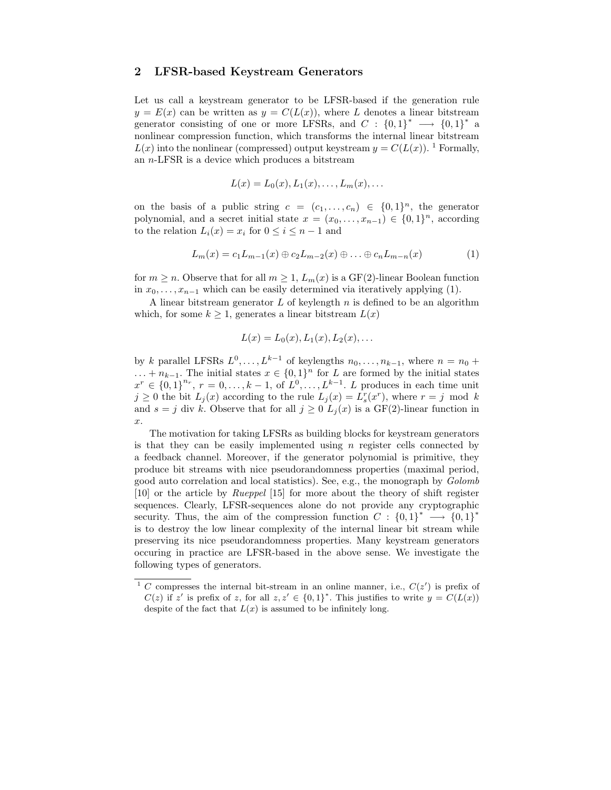### 2 LFSR-based Keystream Generators

Let us call a keystream generator to be LFSR-based if the generation rule  $y = E(x)$  can be written as  $y = C(L(x))$ , where L denotes a linear bitstream generator consisting of one or more LFSRs, and  $C: \{0,1\}^* \longrightarrow \{0,1\}^*$  a nonlinear compression function, which transforms the internal linear bitstream  $L(x)$  into the nonlinear (compressed) output keystream  $y = C(L(x))$ . <sup>1</sup> Formally, an n-LFSR is a device which produces a bitstream

$$
L(x) = L_0(x), L_1(x), \ldots, L_m(x), \ldots
$$

on the basis of a public string  $c = (c_1, \ldots, c_n) \in \{0,1\}^n$ , the generator polynomial, and a secret initial state  $x = (x_0, \ldots, x_{n-1}) \in \{0,1\}^n$ , according to the relation  $L_i(x) = x_i$  for  $0 \leq i \leq n-1$  and

$$
L_m(x) = c_1 L_{m-1}(x) \oplus c_2 L_{m-2}(x) \oplus \ldots \oplus c_n L_{m-n}(x) \tag{1}
$$

for  $m \geq n$ . Observe that for all  $m \geq 1$ ,  $L_m(x)$  is a GF(2)-linear Boolean function in  $x_0, \ldots, x_{n-1}$  which can be easily determined via iteratively applying (1).

A linear bitstream generator  $L$  of keylength  $n$  is defined to be an algorithm which, for some  $k \geq 1$ , generates a linear bitstream  $L(x)$ 

$$
L(x) = L_0(x), L_1(x), L_2(x), \dots
$$

by k parallel LFSRs  $L^0, \ldots, L^{k-1}$  of keylengths  $n_0, \ldots, n_{k-1}$ , where  $n = n_0 +$  $\dots + n_{k-1}$ . The initial states  $x \in \{0,1\}^n$  for L are formed by the initial states  $x^r \in \{0,1\}^{n_r}, r = 0, \ldots, k-1, \text{ of } L^0, \ldots, L^{k-1}.$  L produces in each time unit  $j \geq 0$  the bit  $L_j(x)$  according to the rule  $L_j(x) = L_s^r(x^r)$ , where  $r = j \mod k$ and  $s = j$  div k. Observe that for all  $j \geq 0$   $L_i(x)$  is a GF(2)-linear function in x.

The motivation for taking LFSRs as building blocks for keystream generators is that they can be easily implemented using  $n$  register cells connected by a feedback channel. Moreover, if the generator polynomial is primitive, they produce bit streams with nice pseudorandomness properties (maximal period, good auto correlation and local statistics). See, e.g., the monograph by Golomb [10] or the article by Rueppel [15] for more about the theory of shift register sequences. Clearly, LFSR-sequences alone do not provide any cryptographic security. Thus, the aim of the compression function  $C: \{0,1\}^* \longrightarrow \{0,1\}^*$ is to destroy the low linear complexity of the internal linear bit stream while preserving its nice pseudorandomness properties. Many keystream generators occuring in practice are LFSR-based in the above sense. We investigate the following types of generators.

<sup>&</sup>lt;sup>1</sup> C compresses the internal bit-stream in an online manner, i.e.,  $C(z')$  is prefix of  $C(z)$  if z' is prefix of z, for all  $z, z' \in \{0,1\}^*$ . This justifies to write  $y = C(L(x))$ despite of the fact that  $L(x)$  is assumed to be infinitely long.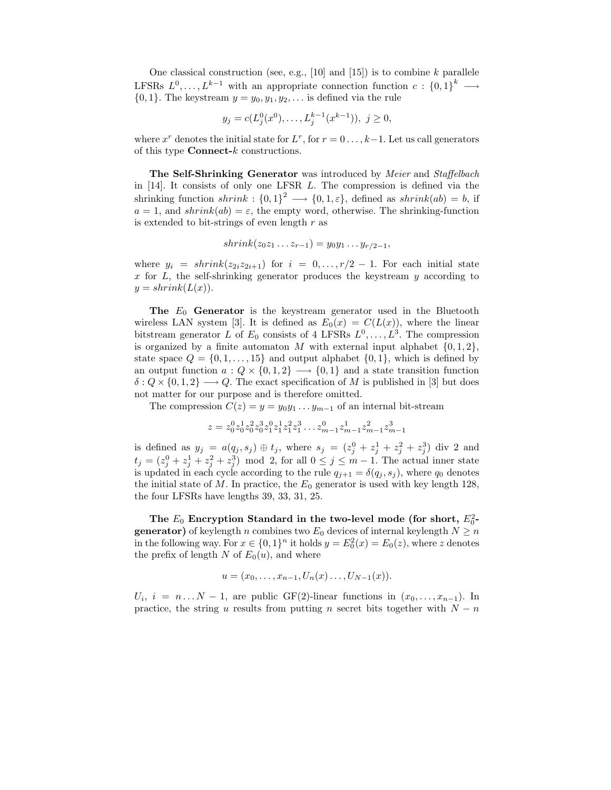One classical construction (see, e.g., [10] and [15]) is to combine  $k$  parallele LFSRs  $L^0, \ldots, L^{k-1}$  with an appropriate connection function  $c: \{0,1\}^k \longrightarrow$  $\{0, 1\}$ . The keystream  $y = y_0, y_1, y_2, \ldots$  is defined via the rule

$$
y_j = c(L_j^0(x^0), \dots, L_j^{k-1}(x^{k-1})), \ j \ge 0,
$$

where  $x^r$  denotes the initial state for  $L^r$ , for  $r = 0 \ldots, k-1$ . Let us call generators of this type **Connect-** $k$  constructions.

The Self-Shrinking Generator was introduced by Meier and Staffelbach in [14]. It consists of only one LFSR L. The compression is defined via the shrinking function  $shrink: \{0,1\}^2 \longrightarrow \{0,1,\varepsilon\}$ , defined as  $shrink(ab) = b$ , if  $a = 1$ , and  $shrink(ab) = \varepsilon$ , the empty word, otherwise. The shrinking-function is extended to bit-strings of even length  $r$  as

$$
shrink(z_0z_1...z_{r-1}) = y_0y_1...y_{r/2-1},
$$

where  $y_i = shrink(z_{2i}z_{2i+1})$  for  $i = 0, ..., r/2 - 1$ . For each initial state  $x$  for  $L$ , the self-shrinking generator produces the keystream  $y$  according to  $y = shrink(L(x)).$ 

The  $E_0$  Generator is the keystream generator used in the Bluetooth wireless LAN system [3]. It is defined as  $E_0(x) = C(L(x))$ , where the linear bitstream generator L of  $E_0$  consists of 4 LFSRs  $L^0, \ldots, L^3$ . The compression is organized by a finite automaton M with external input alphabet  $\{0, 1, 2\}$ , state space  $Q = \{0, 1, \ldots, 15\}$  and output alphabet  $\{0, 1\}$ , which is defined by an output function  $a: Q \times \{0, 1, 2\} \longrightarrow \{0, 1\}$  and a state transition function  $\delta: Q \times \{0, 1, 2\} \longrightarrow Q$ . The exact specification of M is published in [3] but does not matter for our purpose and is therefore omitted.

The compression  $C(z) = y = y_0y_1 \dots y_{m-1}$  of an internal bit-stream

$$
z=z_0^0z_0^1z_0^2z_0^3z_1^0z_1^1z_1^2z_1^3\dots z_{m-1}^0z_{m-1}^1z_{m-1}^2z_{m-1}^3
$$

is defined as  $y_j = a(q_j, s_j) \oplus t_j$ , where  $s_j = (z_j^0 + z_j^1 + z_j^2 + z_j^3)$  div 2 and  $t_j = (z_j^0 + z_j^1 + z_j^2 + z_j^3) \mod 2$ , for all  $0 \le j \le m - 1$ . The actual inner state is updated in each cycle according to the rule  $q_{j+1} = \delta(q_j, s_j)$ , where  $q_0$  denotes the initial state of  $M$ . In practice, the  $E_0$  generator is used with key length 128, the four LFSRs have lengths 39, 33, 31, 25.

The  $E_0$  Encryption Standard in the two-level mode (for short,  $E_0^2$ **generator)** of keylength n combines two  $E_0$  devices of internal keylength  $N \geq n$ in the following way. For  $x \in \{0,1\}^n$  it holds  $y = E_0^2(x) = E_0(z)$ , where z denotes the prefix of length N of  $E_0(u)$ , and where

$$
u = (x_0, \ldots, x_{n-1}, U_n(x) \ldots, U_{N-1}(x)).
$$

 $U_i, i = n \dots N - 1$ , are public GF(2)-linear functions in  $(x_0, \dots, x_{n-1})$ . In practice, the string u results from putting n secret bits together with  $N - n$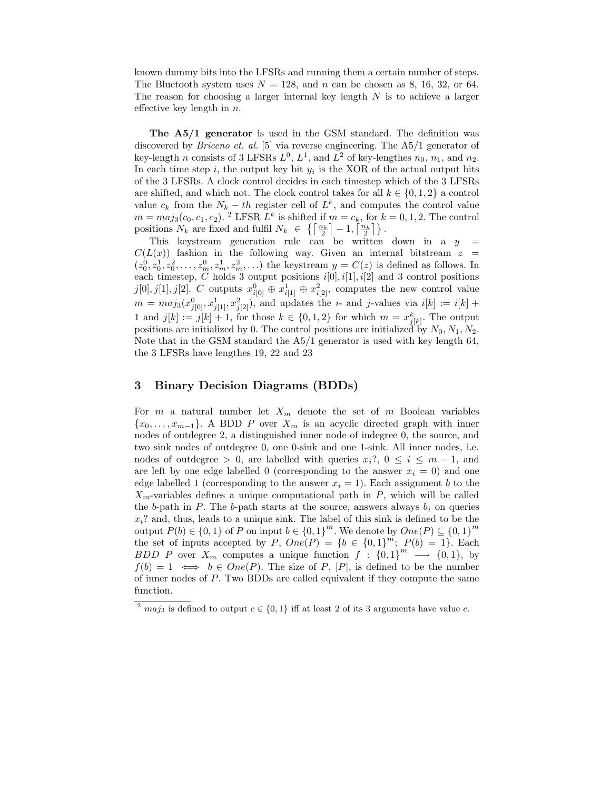known dummy bits into the LFSRs and running them a certain number of steps. The Bluetooth system uses  $N = 128$ , and n can be chosen as 8, 16, 32, or 64. The reason for choosing a larger internal key length  $N$  is to achieve a larger effective key length in  $n$ .

The A5/1 generator is used in the GSM standard. The definition was discovered by *Briceno et. al.* [5] via reverse engineering. The A5/1 generator of key-length n consists of 3 LFSRs  $L^0$ ,  $L^1$ , and  $L^2$  of key-lengthes  $n_0$ ,  $n_1$ , and  $n_2$ . In each time step i, the output key bit  $y_i$  is the XOR of the actual output bits of the 3 LFSRs. A clock control decides in each timestep which of the 3 LFSRs are shifted, and which not. The clock control takes for all  $k \in \{0, 1, 2\}$  a control value  $c_k$  from the  $N_k - th$  register cell of  $L^k$ , and computes the control value  $m = maj_3(c_0, c_1, c_2)$ . <sup>2</sup> LFSR  $L^k$  is shifted if  $m = c_k$ , for  $k = 0, 1, 2$ . The control positions  $N_k$  are fixed and fulfil  $N_k \in \left\{ \left\lceil \frac{n_k}{2} \right\rceil - 1, \left\lceil \frac{n_k}{2} \right\rceil \right\}$ .

This keystream generation rule can be written down in a  $y =$  $C(L(x))$  fashion in the following way. Given an internal bitstream  $z =$  $(z_0^0, z_0^1, z_0^2, \ldots, z_m^0, z_m^1, z_m^2, \ldots)$  the keystream  $y = C(z)$  is defined as follows. In each timestep, C holds 3 output positions  $i[0], i[1], i[2]$  and 3 control positions  $j[0], j[1], j[2]$ . C outputs  $x_{i[0]}^0 \oplus x_{i[1]}^1 \oplus x_{i[2]}^2$ , computes the new control value  $m = maj_3(x_{j[0]}^0, x_{j[1]}^1, x_{j[2]}^2)$ , and updates the *i*- and *j*-values via *i*[*k*] := *i*[*k*] + 1 and  $j[k] := j[k] + 1$ , for those  $k \in \{0, 1, 2\}$  for which  $m = x_{j[k]}^k$ . The output positions are initialized by 0. The control positions are initialized by  $N_0, N_1, N_2$ . Note that in the GSM standard the A5/1 generator is used with key length 64, the 3 LFSRs have lengthes 19, 22 and 23

# 3 Binary Decision Diagrams (BDDs)

For m a natural number let  $X_m$  denote the set of m Boolean variables  ${x_0, \ldots, x_{m-1}}$ . A BDD P over  $X_m$  is an acyclic directed graph with inner nodes of outdegree 2, a distinguished inner node of indegree 0, the source, and two sink nodes of outdegree 0, one 0-sink and one 1-sink. All inner nodes, i.e. nodes of outdegree > 0, are labelled with queries  $x_i$ ?,  $0 \le i \le m-1$ , and are left by one edge labelled 0 (corresponding to the answer  $x_i = 0$ ) and one edge labelled 1 (corresponding to the answer  $x<sub>i</sub> = 1$ ). Each assignment b to the  $X_m$ -variables defines a unique computational path in P, which will be called the b-path in P. The b-path starts at the source, answers always  $b_i$  on queries  $x_i$ ? and, thus, leads to a unique sink. The label of this sink is defined to be the output  $P(b) \in \{0, 1\}$  of P on input  $b \in \{0, 1\}^m$ . We denote by  $One(P) \subseteq \{0, 1\}^m$ the set of inputs accepted by  $P, One(P) = \{b \in \{0,1\}^m, P(b) = 1\}.$  Each BDD P over  $X_m$  computes a unique function  $f: \{0,1\}^m \longrightarrow \{0,1\}$ , by  $f(b) = 1 \iff b \in One(P)$ . The size of P, |P|, is defined to be the number of inner nodes of P. Two BDDs are called equivalent if they compute the same function.

<sup>&</sup>lt;sup>2</sup> maj<sub>3</sub> is defined to output  $c \in \{0,1\}$  iff at least 2 of its 3 arguments have value c.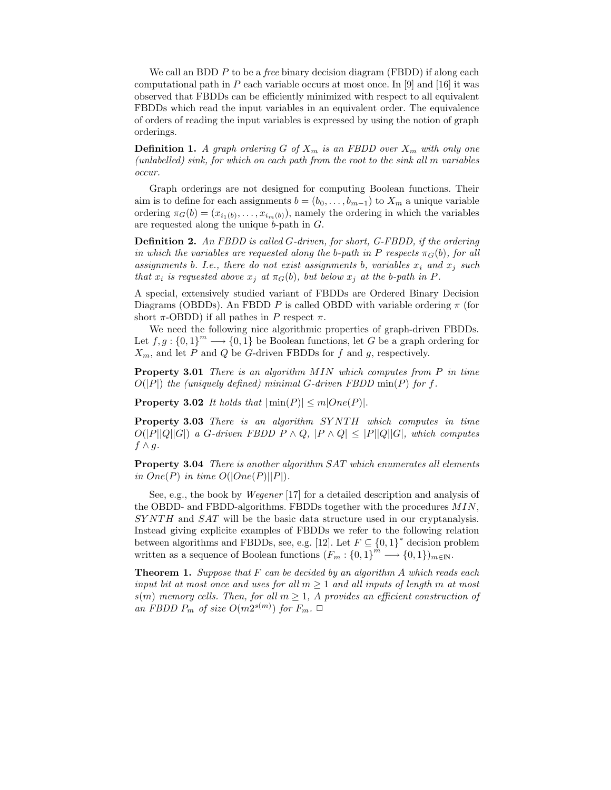We call an BDD  $P$  to be a *free* binary decision diagram (FBDD) if along each computational path in P each variable occurs at most once. In [9] and [16] it was observed that FBDDs can be efficiently minimized with respect to all equivalent FBDDs which read the input variables in an equivalent order. The equivalence of orders of reading the input variables is expressed by using the notion of graph orderings.

**Definition 1.** A graph ordering G of  $X_m$  is an FBDD over  $X_m$  with only one (unlabelled) sink, for which on each path from the root to the sink all m variables occur.

Graph orderings are not designed for computing Boolean functions. Their aim is to define for each assignments  $b = (b_0, \ldots, b_{m-1})$  to  $X_m$  a unique variable ordering  $\pi_G(b) = (x_{i_1(b)}, \ldots, x_{i_m(b)})$ , namely the ordering in which the variables are requested along the unique b-path in G.

Definition 2. An FBDD is called G-driven, for short, G-FBDD, if the ordering in which the variables are requested along the b-path in P respects  $\pi_G(b)$ , for all assignments b. I.e., there do not exist assignments b, variables  $x_i$  and  $x_j$  such that  $x_i$  is requested above  $x_j$  at  $\pi_G(b)$ , but below  $x_j$  at the b-path in P.

A special, extensively studied variant of FBDDs are Ordered Binary Decision Diagrams (OBDDs). An FBDD P is called OBDD with variable ordering  $\pi$  (for short  $\pi$ -OBDD) if all pathes in P respect  $\pi$ .

We need the following nice algorithmic properties of graph-driven FBDDs. Let  $f, g: \{0,1\}^m \longrightarrow \{0,1\}$  be Boolean functions, let G be a graph ordering for  $X_m$ , and let P and Q be G-driven FBDDs for f and g, respectively.

Property 3.01 There is an algorithm MIN which computes from P in time  $O(|P|)$  the (uniquely defined) minimal G-driven FBDD min(P) for f.

**Property 3.02** It holds that  $|\min(P)| \le m|One(P)|$ .

Property 3.03 There is an algorithm SYNTH which computes in time  $O(|P||Q||G|)$  a G-driven FBDD  $P \wedge Q$ ,  $|P \wedge Q| \leq |P||Q||G|$ , which computes  $f \wedge g$ .

Property 3.04 There is another algorithm SAT which enumerates all elements in  $One(P)$  in time  $O(|One(P)||P|)$ .

See, e.g., the book by Wegener [17] for a detailed description and analysis of the OBDD- and FBDD-algorithms. FBDDs together with the procedures MIN, SYNTH and SAT will be the basic data structure used in our cryptanalysis. Instead giving explicite examples of FBDDs we refer to the following relation between algorithms and FBDDs, see, e.g. [12]. Let  $F \subseteq \{0,1\}^*$  decision problem written as a sequence of Boolean functions  $(F_m: \{0,1\}^m \longrightarrow \{0,1\})_{m \in \mathbb{N}}$ .

**Theorem 1.** Suppose that  $F$  can be decided by an algorithm  $A$  which reads each input bit at most once and uses for all  $m > 1$  and all inputs of length m at most  $s(m)$  memory cells. Then, for all  $m \geq 1$ , A provides an efficient construction of an FBDD  $P_m$  of size  $O(m2^{s(m)})$  for  $F_m$ .  $\Box$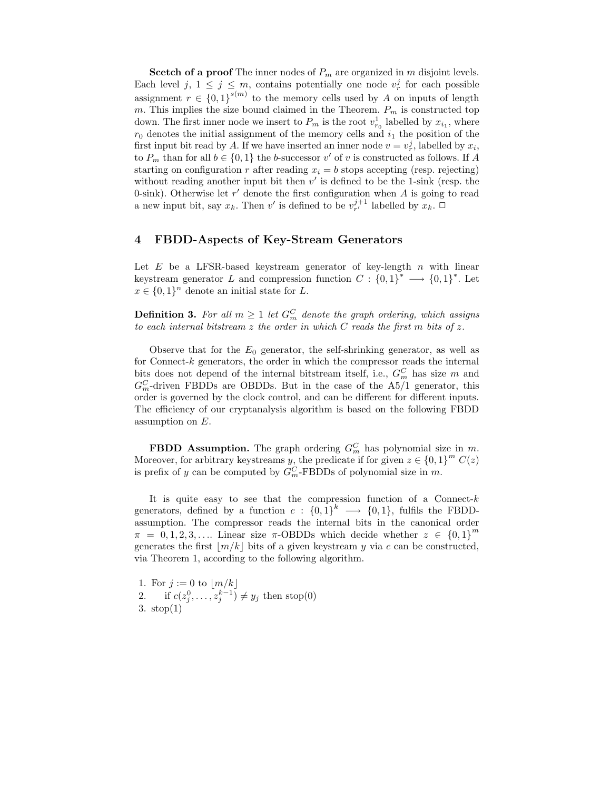Scetch of a proof The inner nodes of  $P_m$  are organized in m disjoint levels. Each level  $j, 1 \leq j \leq m$ , contains potentially one node  $v_r^j$  for each possible assignment  $r \in \{0,1\}^{s(m)}$  to the memory cells used by A on inputs of length m. This implies the size bound claimed in the Theorem.  $P_m$  is constructed top down. The first inner node we insert to  $P_m$  is the root  $v_{r_0}^1$  labelled by  $x_{i_1}$ , where  $r_0$  denotes the initial assignment of the memory cells and  $i_1$  the position of the first input bit read by A. If we have inserted an inner node  $v = v_r^j$ , labelled by  $x_i$ , to  $P_m$  than for all  $b \in \{0, 1\}$  the b-successor  $v'$  of v is constructed as follows. If A starting on configuration r after reading  $x_i = b$  stops accepting (resp. rejecting) without reading another input bit then  $v'$  is defined to be the 1-sink (resp. the 0-sink). Otherwise let  $r'$  denote the first configuration when  $A$  is going to read a new input bit, say  $x_k$ . Then  $v'$  is defined to be  $v^{j+1}_{r'}$  labelled by  $x_k$ .  $\Box$ 

#### 4 FBDD-Aspects of Key-Stream Generators

Let  $E$  be a LFSR-based keystream generator of key-length  $n$  with linear keystream generator L and compression function  $C: \{0,1\}^* \longrightarrow \{0,1\}^*$ . Let  $x \in \{0,1\}^n$  denote an initial state for L.

**Definition 3.** For all  $m \geq 1$  let  $G_m^C$  denote the graph ordering, which assigns to each internal bitstream  $z$  the order in which  $C$  reads the first  $m$  bits of  $z$ .

Observe that for the  $E_0$  generator, the self-shrinking generator, as well as for Connect-k generators, the order in which the compressor reads the internal bits does not depend of the internal bitstream itself, i.e.,  $G_m^C$  has size m and  $G_m^C$ -driven FBDDs are OBDDs. But in the case of the A5/1 generator, this order is governed by the clock control, and can be different for different inputs. The efficiency of our cryptanalysis algorithm is based on the following FBDD assumption on E.

**FBDD** Assumption. The graph ordering  $G_m^C$  has polynomial size in m. Moreover, for arbitrary keystreams y, the predicate if for given  $z \in \{0,1\}^m$   $C(z)$ is prefix of y can be computed by  $G_m^C$ -FBDDs of polynomial size in m.

It is quite easy to see that the compression function of a Connect- $k$ generators, defined by a function  $c: \{0,1\}^k \longrightarrow \{0,1\}$ , fulfils the FBDDassumption. The compressor reads the internal bits in the canonical order  $\pi = 0, 1, 2, 3, \ldots$  Linear size  $\pi$ -OBDDs which decide whether  $z \in \{0, 1\}^m$ generates the first  $|m/k|$  bits of a given keystream y via c can be constructed, via Theorem 1, according to the following algorithm.

1. For  $j := 0$  to  $\lfloor m/k \rfloor$ 2. if  $c(z_j^0, ..., z_j^{k-1}) \neq y_j$  then stop(0) 3. stop(1)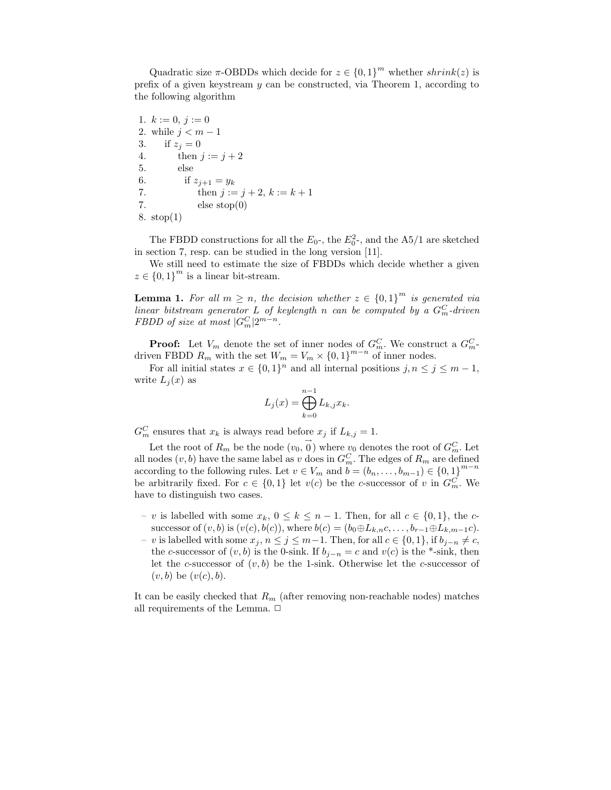Quadratic size  $\pi$ -OBDDs which decide for  $z \in \{0,1\}^m$  whether  $shrink(z)$  is prefix of a given keystream  $y$  can be constructed, via Theorem 1, according to the following algorithm

1.  $k := 0, j := 0$ 2. while  $j < m-1$ 3. if  $z_i = 0$ 4. then  $j := j + 2$ 5. else 6. if  $z_{j+1} = y_k$ 7. then  $j := j + 2, k := k + 1$ 7. else  $stop(0)$ 8. stop(1)

The FBDD constructions for all the  $E_0$ -, the  $E_0^2$ -, and the A5/1 are sketched in section 7, resp. can be studied in the long version [11].

We still need to estimate the size of FBDDs which decide whether a given  $z \in \{0,1\}^m$  is a linear bit-stream.

**Lemma 1.** For all  $m \geq n$ , the decision whether  $z \in \{0,1\}^m$  is generated via linear bitstream generator L of keylength n can be computed by a  $G_m^C$ -driven FBDD of size at most  $|G_m^C|2^{m-n}$ .

**Proof:** Let  $V_m$  denote the set of inner nodes of  $G_m^C$ . We construct a  $G_m^C$ driven FBDD  $R_m$  with the set  $W_m = V_m \times \{0,1\}^{m-n}$  of inner nodes.

For all initial states  $x \in \{0,1\}^n$  and all internal positions  $j, n \leq j \leq m-1$ , write  $L_i(x)$  as

$$
L_j(x) = \bigoplus_{k=0}^{n-1} L_{k,j} x_k.
$$

 $G_m^C$  ensures that  $x_k$  is always read before  $x_j$  if  $L_{k,j} = 1$ .

Let the root of  $R_m$  be the node  $(v_0, \vec{0})$  where  $v_0$  denotes the root of  $G_m^C$ . Let all nodes  $(v, b)$  have the same label as v does in  $G_m^C$ . The edges of  $R_m$  are defined according to the following rules. Let  $v \in V_m$  and  $b = (b_n, \ldots, b_{m-1}) \in \{0,1\}^{m-n}$ be arbitrarily fixed. For  $c \in \{0,1\}$  let  $v(c)$  be the c-successor of v in  $G_m^C$ . We have to distinguish two cases.

- v is labelled with some  $x_k$ ,  $0 \le k \le n-1$ . Then, for all  $c \in \{0,1\}$ , the csuccessor of  $(v, b)$  is  $(v(c), b(c))$ , where  $b(c) = (b_0 \oplus L_{k,n}, c, \ldots, b_{r-1} \oplus L_{k,m-1}c)$ .
- v is labelled with some  $x_j$ ,  $n \leq j \leq m-1$ . Then, for all  $c \in \{0,1\}$ , if  $b_{j-n} \neq c$ , the c-successor of  $(v, b)$  is the 0-sink. If  $b_{j-n} = c$  and  $v(c)$  is the \*-sink, then let the c-successor of  $(v, b)$  be the 1-sink. Otherwise let the c-successor of  $(v, b)$  be  $(v(c), b)$ .

It can be easily checked that  $R_m$  (after removing non-reachable nodes) matches all requirements of the Lemma.  $\Box$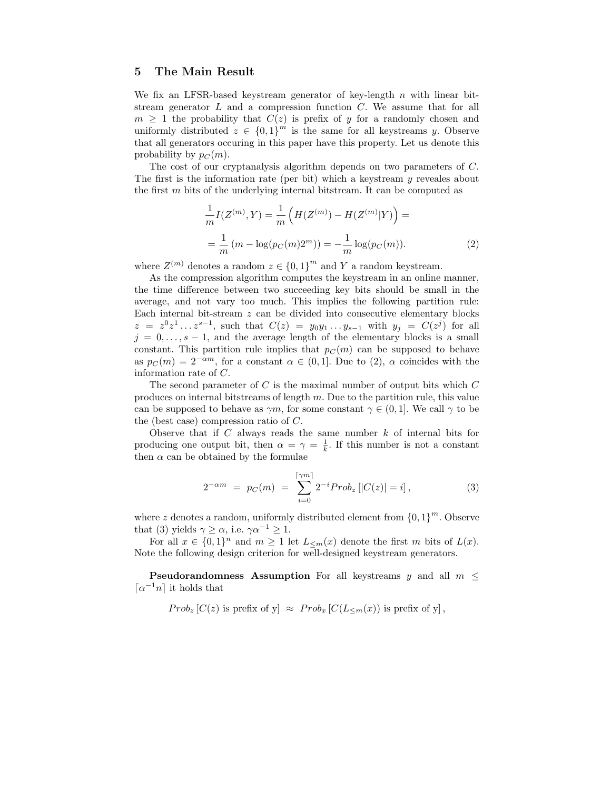#### 5 The Main Result

We fix an LFSR-based keystream generator of key-length  $n$  with linear bitstream generator  $L$  and a compression function  $C$ . We assume that for all  $m \geq 1$  the probability that  $C(z)$  is prefix of y for a randomly chosen and uniformly distributed  $z \in \{0,1\}^m$  is the same for all keystreams y. Observe that all generators occuring in this paper have this property. Let us denote this probability by  $p_C(m)$ .

The cost of our cryptanalysis algorithm depends on two parameters of C. The first is the information rate (per bit) which a keystream  $y$  reveales about the first  $m$  bits of the underlying internal bitstream. It can be computed as

$$
\frac{1}{m}I(Z^{(m)},Y) = \frac{1}{m}\left(H(Z^{(m)}) - H(Z^{(m)}|Y)\right) =
$$
\n
$$
= \frac{1}{m}\left(m - \log(p_C(m)2^m)\right) = -\frac{1}{m}\log(p_C(m)).
$$
\n(2)

where  $Z^{(m)}$  denotes a random  $z \in \{0,1\}^m$  and Y a random keystream.

As the compression algorithm computes the keystream in an online manner, the time difference between two succeeding key bits should be small in the average, and not vary too much. This implies the following partition rule: Each internal bit-stream z can be divided into consecutive elementary blocks  $z = z^{0}z^{1} \dots z^{s-1}$ , such that  $C(z) = y_{0}y_{1} \dots y_{s-1}$  with  $y_{j} = C(z^{j})$  for all  $j = 0, \ldots, s - 1$ , and the average length of the elementary blocks is a small constant. This partition rule implies that  $p_C(m)$  can be supposed to behave as  $p_C(m) = 2^{-\alpha m}$ , for a constant  $\alpha \in (0, 1]$ . Due to  $(2)$ ,  $\alpha$  coincides with the information rate of C.

The second parameter of  $C$  is the maximal number of output bits which  $C$ produces on internal bitstreams of length  $m$ . Due to the partition rule, this value can be supposed to behave as  $\gamma m$ , for some constant  $\gamma \in (0, 1]$ . We call  $\gamma$  to be the (best case) compression ratio of C.

Observe that if  $C$  always reads the same number  $k$  of internal bits for producing one output bit, then  $\alpha = \gamma = \frac{1}{k}$ . If this number is not a constant then  $\alpha$  can be obtained by the formulae

$$
2^{-\alpha m} \ = \ p_C(m) \ = \ \sum_{i=0}^{\lceil \gamma m \rceil} 2^{-i} \, Prob_z \left[ |C(z)| = i \right], \tag{3}
$$

where z denotes a random, uniformly distributed element from  ${0,1}^m$ . Observe that (3) yields  $\gamma \geq \alpha$ , i.e.  $\gamma \alpha^{-1} \geq 1$ .

For all  $x \in \{0,1\}^n$  and  $m \ge 1$  let  $L_{\le m}(x)$  denote the first m bits of  $L(x)$ . Note the following design criterion for well-designed keystream generators.

**Pseudorandomness Assumption** For all keystreams y and all  $m \leq$  $\lceil \alpha^{-1}n \rceil$  it holds that

 $Prob_z [C(z)]$  is prefix of y  $\approx Prob_x [C(L_{\leq m}(x))]$  is prefix of y  $],$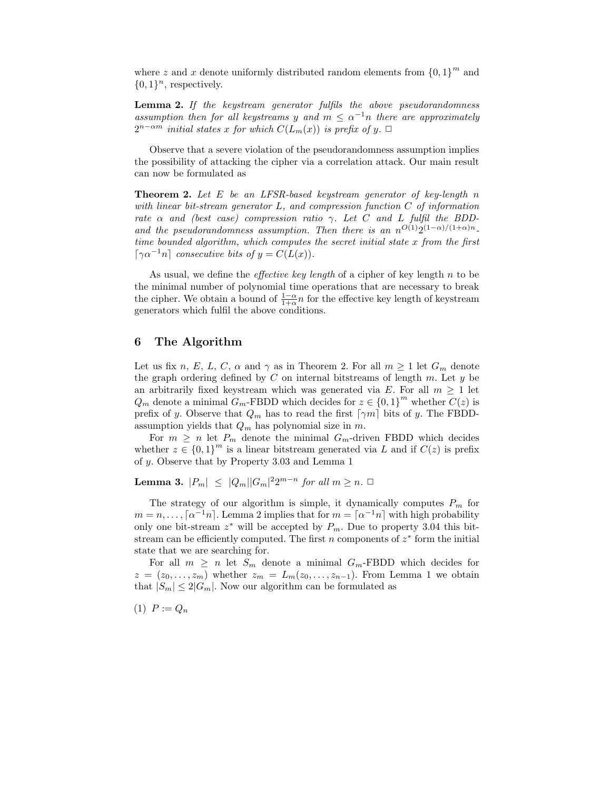where z and x denote uniformly distributed random elements from  ${0,1}^m$  and  $\{0,1\}^n$ , respectively.

**Lemma 2.** If the keystream generator fulfils the above pseudorandomness assumption then for all keystreams y and  $m \leq \alpha^{-1}n$  there are approximately  $2^{n-\alpha m}$  initial states x for which  $C(L_m(x))$  is prefix of y.  $\Box$ 

Observe that a severe violation of the pseudorandomness assumption implies the possibility of attacking the cipher via a correlation attack. Our main result can now be formulated as

**Theorem 2.** Let E be an LFSR-based keystream generator of key-length n with linear bit-stream generator L, and compression function C of information rate  $\alpha$  and (best case) compression ratio  $\gamma$ . Let C and L fulfil the BDDand the pseudorandomness assumption. Then there is an  $n^{O(1)}2^{(1-\alpha)/(1+\alpha)n}$ . time bounded algorithm, which computes the secret initial state x from the first  $\lceil \gamma \alpha^{-1} n \rceil$  consecutive bits of  $y = C(L(x)).$ 

As usual, we define the *effective key length* of a cipher of key length  $n$  to be the minimal number of polynomial time operations that are necessary to break the cipher. We obtain a bound of  $\frac{1-\alpha}{1+\alpha}n$  for the effective key length of keystream generators which fulfil the above conditions.

#### 6 The Algorithm

Let us fix n, E, L, C,  $\alpha$  and  $\gamma$  as in Theorem 2. For all  $m \geq 1$  let  $G_m$  denote the graph ordering defined by  $C$  on internal bitstreams of length  $m$ . Let  $y$  be an arbitrarily fixed keystream which was generated via E. For all  $m \geq 1$  let  $Q_m$  denote a minimal  $G_m$ -FBDD which decides for  $z \in \{0,1\}^m$  whether  $C(z)$  is prefix of y. Observe that  $Q_m$  has to read the first  $\lceil \gamma m \rceil$  bits of y. The FBDDassumption yields that  $Q_m$  has polynomial size in m.

For  $m \geq n$  let  $P_m$  denote the minimal  $G_m$ -driven FBDD which decides whether  $z \in \{0,1\}^m$  is a linear bitstream generated via L and if  $C(z)$  is prefix of y. Observe that by Property 3.03 and Lemma 1

Lemma 3.  $|P_m| \leq |Q_m||G_m|^2 2^{m-n}$  for all  $m \geq n$ .  $\Box$ 

The strategy of our algorithm is simple, it dynamically computes  $P_m$  for  $m = n, \ldots, \lceil \alpha^{-1} n \rceil$ . Lemma 2 implies that for  $m = \lceil \alpha^{-1} n \rceil$  with high probability only one bit-stream  $z^*$  will be accepted by  $P_m$ . Due to property 3.04 this bitstream can be efficiently computed. The first  $n$  components of  $z^*$  form the initial state that we are searching for.

For all  $m \geq n$  let  $S_m$  denote a minimal  $G_m$ -FBDD which decides for  $z = (z_0, \ldots, z_m)$  whether  $z_m = L_m(z_0, \ldots, z_{n-1})$ . From Lemma 1 we obtain that  $|S_m| \leq 2|G_m|$ . Now our algorithm can be formulated as

 $(1)$   $P := Q_n$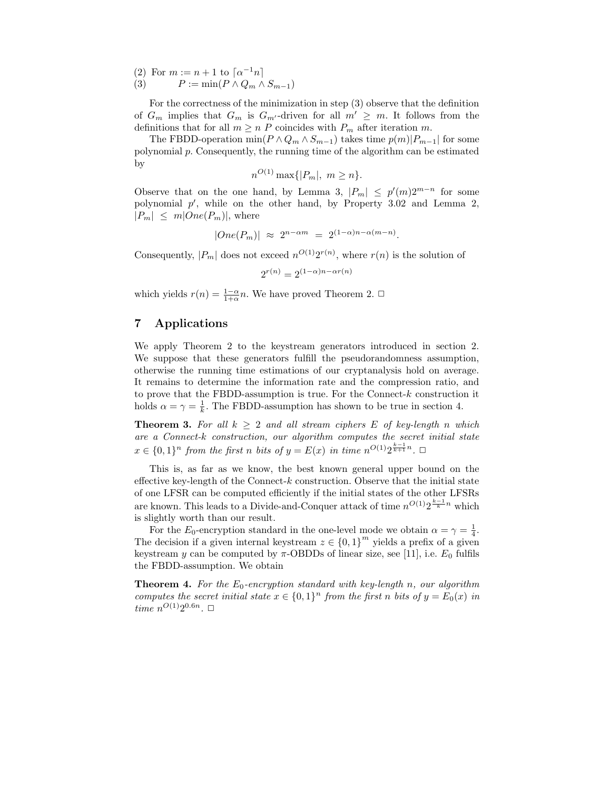(2) For  $m := n + 1$  to  $\lceil \alpha^{-1} n \rceil$ 

(3)  $P := \min(P \wedge Q_m \wedge S_{m-1})$ 

For the correctness of the minimization in step (3) observe that the definition of  $G_m$  implies that  $G_m$  is  $G_{m'}$ -driven for all  $m' \geq m$ . It follows from the definitions that for all  $m \geq n$  P coincides with  $P_m$  after iteration m.

The FBDD-operation min( $P \wedge Q_m \wedge S_{m-1}$ ) takes time  $p(m)|P_{m-1}|$  for some polynomial p. Consequently, the running time of the algorithm can be estimated by

$$
n^{O(1)} \max\{|P_m|, \ m \ge n\}.
$$

Observe that on the one hand, by Lemma 3,  $|P_m| \leq p'(m)2^{m-n}$  for some polynomial  $p'$ , while on the other hand, by Property 3.02 and Lemma 2,  $|P_m| \leq m|One(P_m)|$ , where

$$
One(P_m)| \approx 2^{n-\alpha m} = 2^{(1-\alpha)n-\alpha(m-n)}.
$$

Consequently,  $|P_m|$  does not exceed  $n^{O(1)}2^{r(n)}$ , where  $r(n)$  is the solution of

$$
2^{r(n)} = 2^{(1-\alpha)n - \alpha r(n)}
$$

which yields  $r(n) = \frac{1-\alpha}{1+\alpha}n$ . We have proved Theorem 2.  $\Box$ 

# 7 Applications

We apply Theorem 2 to the keystream generators introduced in section 2. We suppose that these generators fulfill the pseudorandomness assumption, otherwise the running time estimations of our cryptanalysis hold on average. It remains to determine the information rate and the compression ratio, and to prove that the FBDD-assumption is true. For the Connect-k construction it holds  $\alpha = \gamma = \frac{1}{k}$ . The FBDD-assumption has shown to be true in section 4.

**Theorem 3.** For all  $k \geq 2$  and all stream ciphers E of key-length n which are a Connect-k construction, our algorithm computes the secret initial state  $x \in \{0,1\}^n$  from the first n bits of  $y = E(x)$  in time  $n^{O(1)} 2^{\frac{k-1}{k+1}n}$ .

This is, as far as we know, the best known general upper bound on the effective key-length of the Connect- $k$  construction. Observe that the initial state of one LFSR can be computed efficiently if the initial states of the other LFSRs are known. This leads to a Divide-and-Conquer attack of time  $n^{O(1)} 2^{\frac{k-1}{k}n}$  which is slightly worth than our result.

For the  $E_0$ -encryption standard in the one-level mode we obtain  $\alpha = \gamma = \frac{1}{4}$ . The decision if a given internal keystream  $z \in \{0,1\}^m$  yields a prefix of a given keystream y can be computed by  $\pi$ -OBDDs of linear size, see [11], i.e.  $E_0$  fulfils the FBDD-assumption. We obtain

**Theorem 4.** For the  $E_0$ -encryption standard with key-length n, our algorithm computes the secret initial state  $x \in \{0,1\}^n$  from the first n bits of  $y = E_0(x)$  in time  $n^{O(1)}2^{0.6n}$ .  $\Box$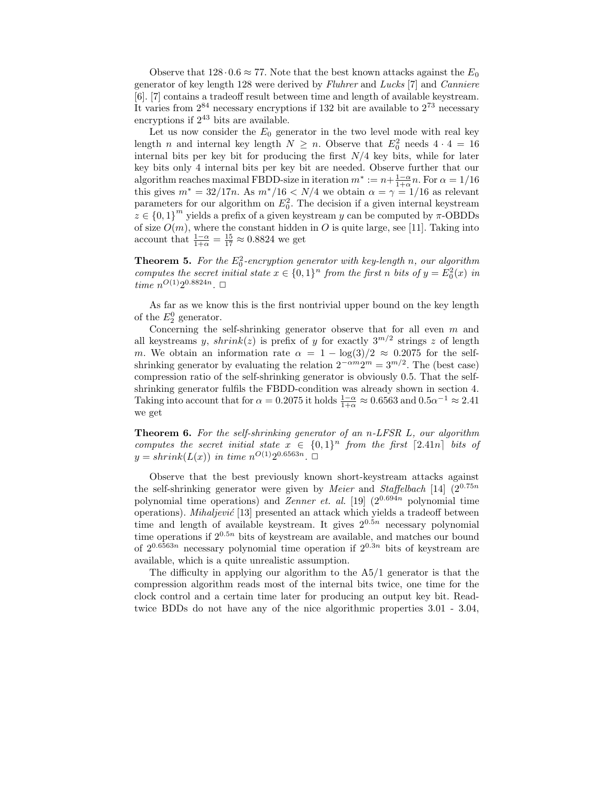Observe that  $128 \cdot 0.6 \approx 77$ . Note that the best known attacks against the  $E_0$ generator of key length 128 were derived by Fluhrer and Lucks [7] and Canniere [6]. [7] contains a tradeoff result between time and length of available keystream. It varies from  $2^{84}$  necessary encryptions if 132 bit are available to  $2^{73}$  necessary encryptions if 2 <sup>43</sup> bits are available.

Let us now consider the  $E_0$  generator in the two level mode with real key length n and internal key length  $N \geq n$ . Observe that  $E_0^2$  needs  $4 \cdot 4 = 16$ internal bits per key bit for producing the first  $N/4$  key bits, while for later key bits only 4 internal bits per key bit are needed. Observe further that our algorithm reaches maximal FBDD-size in iteration  $m^* := n + \frac{1-\alpha}{1+\alpha}n$ . For  $\alpha = 1/16$ this gives  $m^* = 32/17n$ . As  $m^*/16 < N/4$  we obtain  $\alpha = \gamma = 1/16$  as relevant parameters for our algorithm on  $E_0^2$ . The decision if a given internal keystream  $z \in \{0,1\}^m$  yields a prefix of a given keystream y can be computed by  $\pi$ -OBDDs of size  $O(m)$ , where the constant hidden in O is quite large, see [11]. Taking into account that  $\frac{1-\alpha}{1+\alpha} = \frac{15}{17} \approx 0.8824$  we get

**Theorem 5.** For the  $E_0^2$ -encryption generator with key-length n, our algorithm computes the secret initial state  $x \in \{0,1\}^n$  from the first n bits of  $y = E_0^2(x)$  in  $time n^{O(1)}2^{0.8824n}$ .  $\square$ 

As far as we know this is the first nontrivial upper bound on the key length of the  $E_2^0$  generator.

Concerning the self-shrinking generator observe that for all even  $m$  and all keystreams y,  $shrink(z)$  is prefix of y for exactly  $3^{m/2}$  strings z of length m. We obtain an information rate  $\alpha = 1 - \log(3)/2 \approx 0.2075$  for the selfshrinking generator by evaluating the relation  $2^{-\alpha m}2^m = 3^{m/2}$ . The (best case) compression ratio of the self-shrinking generator is obviously 0.5. That the selfshrinking generator fulfils the FBDD-condition was already shown in section 4. Taking into account that for  $\alpha = 0.2075$  it holds  $\frac{1-\alpha}{1+\alpha} \approx 0.6563$  and  $0.5\alpha^{-1} \approx 2.41$ we get

Theorem 6. For the self-shrinking generator of an n-LFSR L, our algorithm computes the secret initial state  $x \in \{0,1\}^n$  from the first  $[2.41n]$  bits of  $y = shrink(L(x))$  in time  $n^{O(1)}2^{0.6563n}$ .

Observe that the best previously known short-keystream attacks against the self-shrinking generator were given by *Meier* and *Staffelbach* [14]  $(2^{0.75n})$ polynomial time operations) and Zenner et. al. [19]  $(2^{0.694n})$  polynomial time operations). Mihaljević [13] presented an attack which yields a tradeoff between time and length of available keystream. It gives  $2^{0.5n}$  necessary polynomial time operations if  $2^{0.5n}$  bits of keystream are available, and matches our bound of  $2^{0.6563n}$  necessary polynomial time operation if  $2^{0.3n}$  bits of keystream are available, which is a quite unrealistic assumption.

The difficulty in applying our algorithm to the A5/1 generator is that the compression algorithm reads most of the internal bits twice, one time for the clock control and a certain time later for producing an output key bit. Readtwice BDDs do not have any of the nice algorithmic properties 3.01 - 3.04,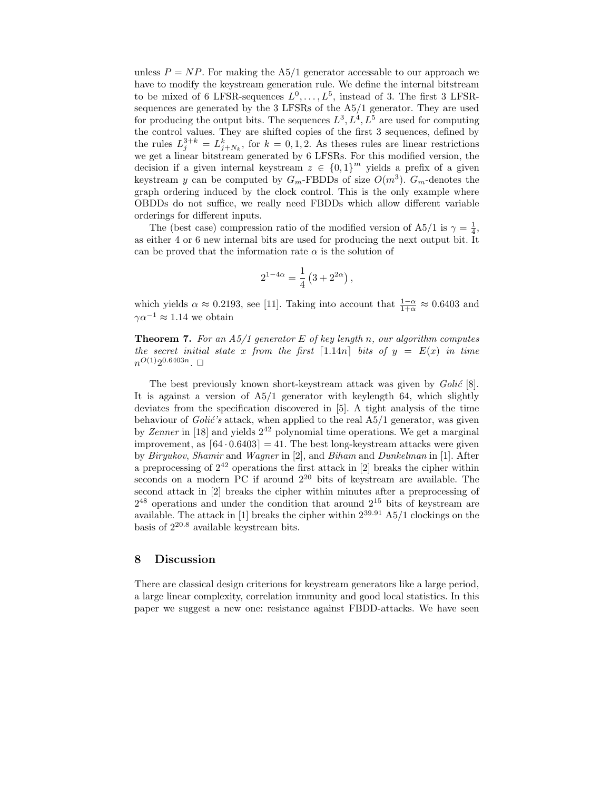unless  $P = NP$ . For making the A5/1 generator accessable to our approach we have to modify the keystream generation rule. We define the internal bitstream to be mixed of 6 LFSR-sequences  $L^0, \ldots, L^5$ , instead of 3. The first 3 LFSRsequences are generated by the 3 LFSRs of the A5/1 generator. They are used for producing the output bits. The sequences  $L^3, L^4, L^5$  are used for computing the control values. They are shifted copies of the first 3 sequences, defined by the rules  $L_j^{3+k} = L_{j+N_k}^k$ , for  $k = 0, 1, 2$ . As theses rules are linear restrictions we get a linear bitstream generated by 6 LFSRs. For this modified version, the decision if a given internal keystream  $z \in \{0,1\}^m$  yields a prefix of a given keystream y can be computed by  $G_m$ -FBDDs of size  $O(m^3)$ .  $G_m$ -denotes the graph ordering induced by the clock control. This is the only example where OBDDs do not suffice, we really need FBDDs which allow different variable orderings for different inputs.

The (best case) compression ratio of the modified version of A5/1 is  $\gamma = \frac{1}{4}$ , as either 4 or 6 new internal bits are used for producing the next output bit. It can be proved that the information rate  $\alpha$  is the solution of

$$
2^{1-4\alpha} = \frac{1}{4} (3 + 2^{2\alpha}),
$$

which yields  $\alpha \approx 0.2193$ , see [11]. Taking into account that  $\frac{1-\alpha}{1+\alpha} \approx 0.6403$  and  $\gamma \alpha^{-1} \approx 1.14$  we obtain

**Theorem 7.** For an  $A5/1$  generator E of key length n, our algorithm computes the secret initial state x from the first  $\lceil 1.14n \rceil$  bits of  $y = E(x)$  in time  $n^{O(1)}2^{0.6403n}$ .  $\Box$ 

The best previously known short-keystream attack was given by  $Goli\acute{c}$  [8]. It is against a version of A5/1 generator with keylength 64, which slightly deviates from the specification discovered in [5]. A tight analysis of the time behaviour of  $Goli\acute{c}$ 's attack, when applied to the real A5/1 generator, was given by Zenner in [18] and yields  $2^{42}$  polynomial time operations. We get a marginal improvement, as  $\lceil 64 \cdot 0.6403 \rceil = 41$ . The best long-keystream attacks were given by Biryukov, Shamir and Wagner in [2], and Biham and Dunkelman in [1]. After a preprocessing of 2 <sup>42</sup> operations the first attack in [2] breaks the cipher within seconds on a modern PC if around 2 <sup>20</sup> bits of keystream are available. The second attack in [2] breaks the cipher within minutes after a preprocessing of  $2^{48}$  operations and under the condition that around  $2^{15}$  bits of keystream are available. The attack in  $[1]$  breaks the cipher within  $2^{39.91}$  A5/1 clockings on the basis of 2 <sup>20</sup>.<sup>8</sup> available keystream bits.

# 8 Discussion

There are classical design criterions for keystream generators like a large period, a large linear complexity, correlation immunity and good local statistics. In this paper we suggest a new one: resistance against FBDD-attacks. We have seen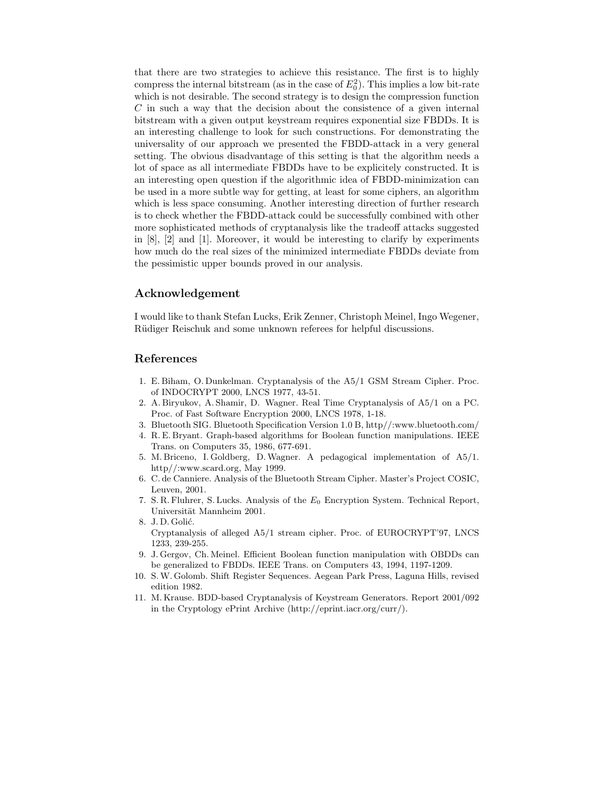that there are two strategies to achieve this resistance. The first is to highly compress the internal bitstream (as in the case of  $E_0^2$ ). This implies a low bit-rate which is not desirable. The second strategy is to design the compression function C in such a way that the decision about the consistence of a given internal bitstream with a given output keystream requires exponential size FBDDs. It is an interesting challenge to look for such constructions. For demonstrating the universality of our approach we presented the FBDD-attack in a very general setting. The obvious disadvantage of this setting is that the algorithm needs a lot of space as all intermediate FBDDs have to be explicitely constructed. It is an interesting open question if the algorithmic idea of FBDD-minimization can be used in a more subtle way for getting, at least for some ciphers, an algorithm which is less space consuming. Another interesting direction of further research is to check whether the FBDD-attack could be successfully combined with other more sophisticated methods of cryptanalysis like the tradeoff attacks suggested in [8], [2] and [1]. Moreover, it would be interesting to clarify by experiments how much do the real sizes of the minimized intermediate FBDDs deviate from the pessimistic upper bounds proved in our analysis.

# Acknowledgement

I would like to thank Stefan Lucks, Erik Zenner, Christoph Meinel, Ingo Wegener, Rüdiger Reischuk and some unknown referees for helpful discussions.

## References

- 1. E. Biham, O. Dunkelman. Cryptanalysis of the A5/1 GSM Stream Cipher. Proc. of INDOCRYPT 2000, LNCS 1977, 43-51.
- 2. A. Biryukov, A. Shamir, D. Wagner. Real Time Cryptanalysis of A5/1 on a PC. Proc. of Fast Software Encryption 2000, LNCS 1978, 1-18.
- 3. Bluetooth SIG. Bluetooth Specification Version 1.0 B, http//:www.bluetooth.com/
- 4. R.E. Bryant. Graph-based algorithms for Boolean function manipulations. IEEE Trans. on Computers 35, 1986, 677-691.
- 5. M. Briceno, I. Goldberg, D.Wagner. A pedagogical implementation of A5/1. http//:www.scard.org, May 1999.
- 6. C. de Canniere. Analysis of the Bluetooth Stream Cipher. Master's Project COSIC, Leuven, 2001.
- 7. S. R. Fluhrer, S. Lucks. Analysis of the E<sup>0</sup> Encryption System. Technical Report, Universität Mannheim 2001.
- 8. J.D. Golić. Cryptanalysis of alleged A5/1 stream cipher. Proc. of EUROCRYPT'97, LNCS 1233, 239-255.
- 9. J. Gergov, Ch. Meinel. Efficient Boolean function manipulation with OBDDs can be generalized to FBDDs. IEEE Trans. on Computers 43, 1994, 1197-1209.
- 10. S.W. Golomb. Shift Register Sequences. Aegean Park Press, Laguna Hills, revised edition 1982.
- 11. M. Krause. BDD-based Cryptanalysis of Keystream Generators. Report 2001/092 in the Cryptology ePrint Archive (http://eprint.iacr.org/curr/).